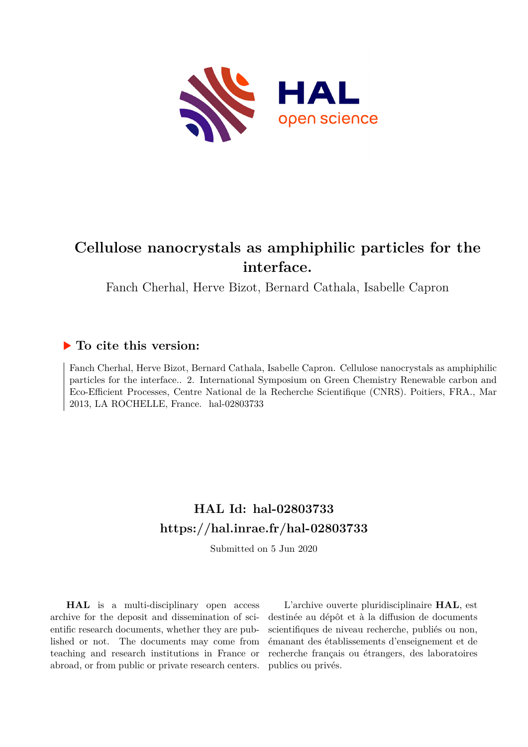

# **Cellulose nanocrystals as amphiphilic particles for the interface.**

Fanch Cherhal, Herve Bizot, Bernard Cathala, Isabelle Capron

## **To cite this version:**

Fanch Cherhal, Herve Bizot, Bernard Cathala, Isabelle Capron. Cellulose nanocrystals as amphiphilic particles for the interface.. 2. International Symposium on Green Chemistry Renewable carbon and Eco-Efficient Processes, Centre National de la Recherche Scientifique (CNRS). Poitiers, FRA., Mar 2013, LA ROCHELLE, France. hal-02803733

# **HAL Id: hal-02803733 <https://hal.inrae.fr/hal-02803733>**

Submitted on 5 Jun 2020

**HAL** is a multi-disciplinary open access archive for the deposit and dissemination of scientific research documents, whether they are published or not. The documents may come from teaching and research institutions in France or abroad, or from public or private research centers.

L'archive ouverte pluridisciplinaire **HAL**, est destinée au dépôt et à la diffusion de documents scientifiques de niveau recherche, publiés ou non, émanant des établissements d'enseignement et de recherche français ou étrangers, des laboratoires publics ou privés.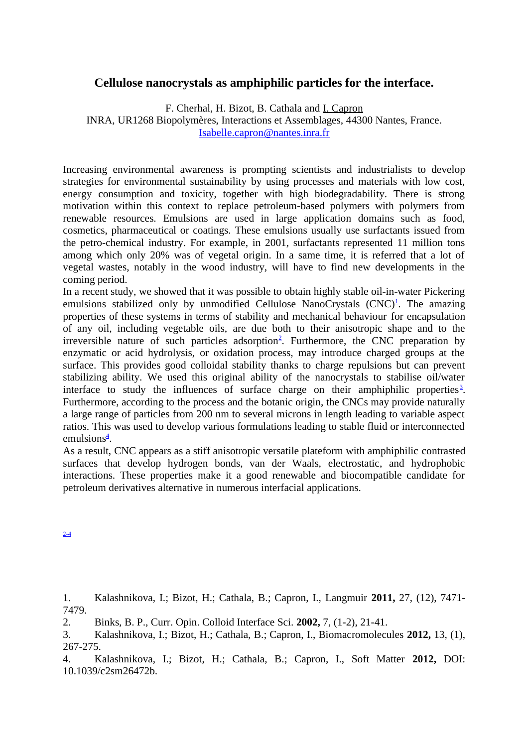## **Cellulose nanocrystals as amphiphilic particles for the interface.**

F. Cherhal, H. Bizot, B. Cathala and I. Capron

INRA, UR1268 Biopolymères, Interactions et Assemblages, 44300 Nantes, France. [Isabelle.capron@nantes.inra.fr](mailto:Isabelle.capron@nantes.inra.fr)

Increasing environmental awareness is prompting scientists and industrialists to develop strategies for environmental sustainability by using processes and materials with low cost, energy consumption and toxicity, together with high biodegradability. There is strong motivation within this context to replace petroleum-based polymers with polymers from renewable resources. Emulsions are used in large application domains such as food, cosmetics, pharmaceutical or coatings. These emulsions usually use surfactants issued from the petro-chemical industry. For example, in 2001, surfactants represented 11 million tons among which only 20% was of vegetal origin. In a same time, it is referred that a lot of vegetal wastes, notably in the wood industry, will have to find new developments in the coming period.

In a recent study, we showed that it was possible to obtain highly stable oil-in-water Pickering emulsions stabilized only by unmodified Cellulose NanoCrystals  $(CNC)^1$  $(CNC)^1$ . The amazing properties of these systems in terms of stability and mechanical behaviour for encapsulation of any oil, including vegetable oils, are due both to their anisotropic shape and to the irreversible nature of such particles adsorption<sup>[2](#page-1-0)</sup>. Furthermore, the CNC preparation by enzymatic or acid hydrolysis, or oxidation process, may introduce charged groups at the surface. This provides good colloidal stability thanks to charge repulsions but can prevent stabilizing ability. We used this original ability of the nanocrystals to stabilise oil/water interface to study the influences of surface charge on their amphiphilic properties<sup>[3](#page-1-0)</sup>. Furthermore, according to the process and the botanic origin, the CNCs may provide naturally a large range of particles from 200 nm to several microns in length leading to variable aspect ratios. This was used to develop various formulations leading to stable fluid or interconnected emulsions<sup>[4](#page-1-0)</sup>.

As a result, CNC appears as a stiff anisotropic versatile plateform with amphiphilic contrasted surfaces that develop hydrogen bonds, van der Waals, electrostatic, and hydrophobic interactions. These properties make it a good renewable and biocompatible candidate for petroleum derivatives alternative in numerous interfacial applications.

[2-4](#page-1-0)

<span id="page-1-0"></span>1. Kalashnikova, I.; Bizot, H.; Cathala, B.; Capron, I., Langmuir **2011,** 27, (12), 7471- 7479.

2. Binks, B. P., Curr. Opin. Colloid Interface Sci. **2002,** 7, (1-2), 21-41.

3. Kalashnikova, I.; Bizot, H.; Cathala, B.; Capron, I., Biomacromolecules **2012,** 13, (1), 267-275.

4. Kalashnikova, I.; Bizot, H.; Cathala, B.; Capron, I., Soft Matter **2012,** DOI: 10.1039/c2sm26472b.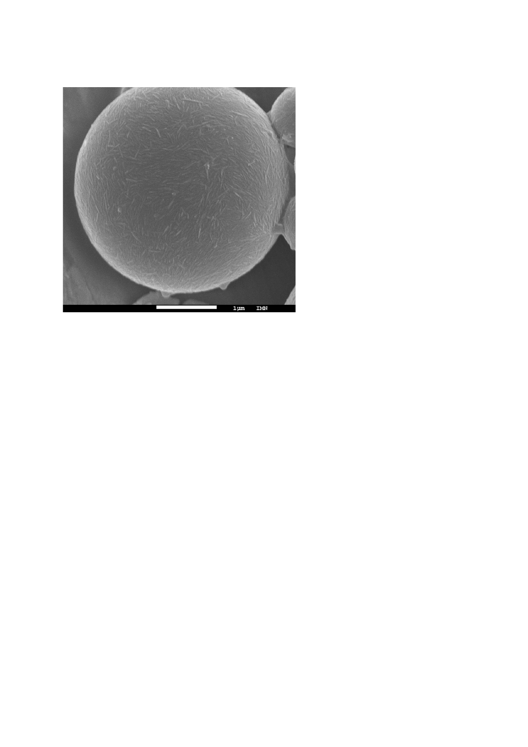